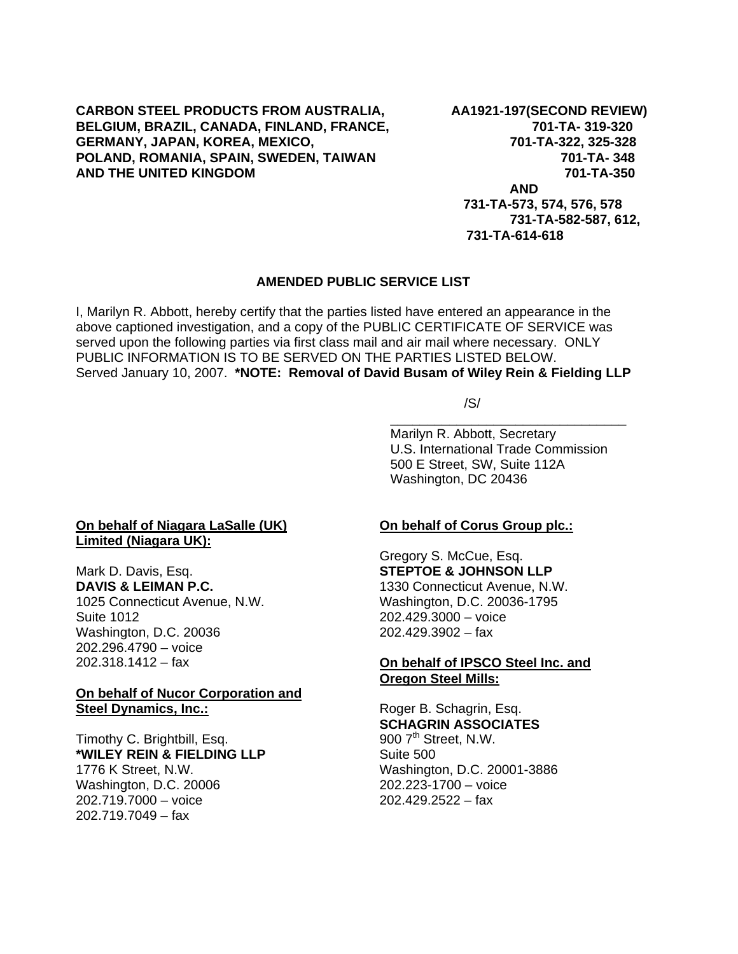## **CARBON STEEL PRODUCTS FROM AUSTRALIA, AA1921-197(SECOND REVIEW)**  BELGIUM, BRAZIL, CANADA, FINLAND, FRANCE, 701-TA-319-320 **GERMANY, JAPAN, KOREA, MEXICO, 701-TA-322, 325-328**  POLAND, ROMANIA, SPAIN, SWEDEN, TAIWAN **1988 1998 1-201-TA- 348 AND THE UNITED KINGDOM 701-TA-350**

 **AND** 

 **731-TA-573, 574, 576, 578 731-TA-582-587, 612, 731-TA-614-618**

### **AMENDED PUBLIC SERVICE LIST**

I, Marilyn R. Abbott, hereby certify that the parties listed have entered an appearance in the above captioned investigation, and a copy of the PUBLIC CERTIFICATE OF SERVICE was served upon the following parties via first class mail and air mail where necessary. ONLY PUBLIC INFORMATION IS TO BE SERVED ON THE PARTIES LISTED BELOW. Served January 10, 2007. **\*NOTE: Removal of David Busam of Wiley Rein & Fielding LLP** 

 $\overline{\phantom{a}}$  , and the contract of the contract of the contract of the contract of the contract of the contract of the contract of the contract of the contract of the contract of the contract of the contract of the contrac

/S/

Marilyn R. Abbott, Secretary U.S. International Trade Commission 500 E Street, SW, Suite 112A Washington, DC 20436

### **On behalf of Niagara LaSalle (UK) Limited (Niagara UK):**

Mark D. Davis, Esq. **DAVIS & LEIMAN P.C.** 1025 Connecticut Avenue, N.W. Suite 1012 Washington, D.C. 20036 202.296.4790 – voice 202.318.1412 – fax

## **On behalf of Nucor Corporation and Steel Dynamics, Inc.:**

Timothy C. Brightbill, Esq. **\*WILEY REIN & FIELDING LLP** 1776 K Street, N.W. Washington, D.C. 20006 202.719.7000 – voice 202.719.7049 – fax

## **On behalf of Corus Group plc.:**

Gregory S. McCue, Esq. **STEPTOE & JOHNSON LLP** 1330 Connecticut Avenue, N.W. Washington, D.C. 20036-1795 202.429.3000 – voice 202.429.3902 – fax

### **On behalf of IPSCO Steel Inc. and Oregon Steel Mills:**

Roger B. Schagrin, Esq. **SCHAGRIN ASSOCIATES** 900 7<sup>th</sup> Street, N.W. Suite 500 Washington, D.C. 20001-3886 202.223-1700 – voice 202.429.2522 – fax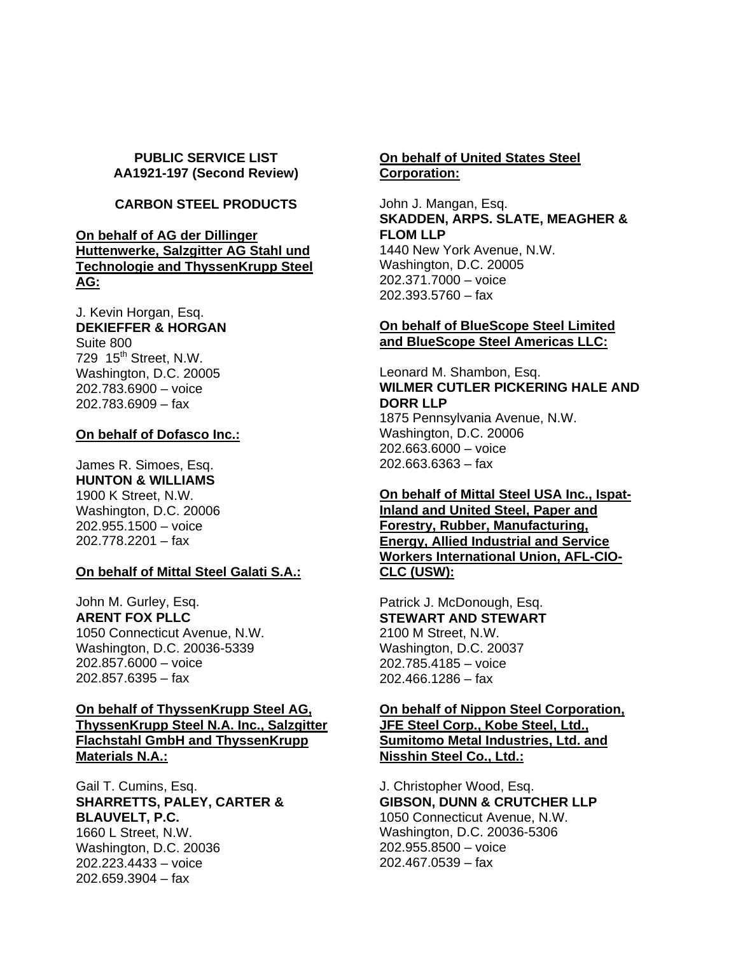**PUBLIC SERVICE LIST AA1921-197 (Second Review)** 

#### **CARBON STEEL PRODUCTS**

**On behalf of AG der Dillinger Huttenwerke, Salzgitter AG Stahl und Technologie and ThyssenKrupp Steel AG:**

J. Kevin Horgan, Esq. **DEKIEFFER & HORGAN** Suite 800 729 15<sup>th</sup> Street, N.W. Washington, D.C. 20005 202.783.6900 – voice 202.783.6909 – fax

#### **On behalf of Dofasco Inc.:**

James R. Simoes, Esq. **HUNTON & WILLIAMS** 1900 K Street, N.W. Washington, D.C. 20006 202.955.1500 – voice 202.778.2201 – fax

#### **On behalf of Mittal Steel Galati S.A.:**

John M. Gurley, Esq. **ARENT FOX PLLC** 1050 Connecticut Avenue, N.W. Washington, D.C. 20036-5339 202.857.6000 – voice 202.857.6395 – fax

## **On behalf of ThyssenKrupp Steel AG, ThyssenKrupp Steel N.A. Inc., Salzgitter Flachstahl GmbH and ThyssenKrupp Materials N.A.:**

Gail T. Cumins, Esq. **SHARRETTS, PALEY, CARTER & BLAUVELT, P.C.** 1660 L Street, N.W. Washington, D.C. 20036 202.223.4433 – voice 202.659.3904 – fax

#### **On behalf of United States Steel Corporation:**

John J. Mangan, Esq. **SKADDEN, ARPS. SLATE, MEAGHER & FLOM LLP** 1440 New York Avenue, N.W. Washington, D.C. 20005 202.371.7000 – voice 202.393.5760 – fax

### **On behalf of BlueScope Steel Limited and BlueScope Steel Americas LLC:**

Leonard M. Shambon, Esq. **WILMER CUTLER PICKERING HALE AND DORR LLP**

1875 Pennsylvania Avenue, N.W. Washington, D.C. 20006 202.663.6000 – voice 202.663.6363 – fax

**On behalf of Mittal Steel USA Inc., Ispat-Inland and United Steel, Paper and Forestry, Rubber, Manufacturing, Energy, Allied Industrial and Service Workers International Union, AFL-CIO-CLC (USW):**

Patrick J. McDonough, Esq. **STEWART AND STEWART** 2100 M Street, N.W. Washington, D.C. 20037 202.785.4185 – voice 202.466.1286 – fax

**On behalf of Nippon Steel Corporation, JFE Steel Corp., Kobe Steel, Ltd., Sumitomo Metal Industries, Ltd. and Nisshin Steel Co., Ltd.:**

J. Christopher Wood, Esq. **GIBSON, DUNN & CRUTCHER LLP** 1050 Connecticut Avenue, N.W. Washington, D.C. 20036-5306 202.955.8500 – voice 202.467.0539 – fax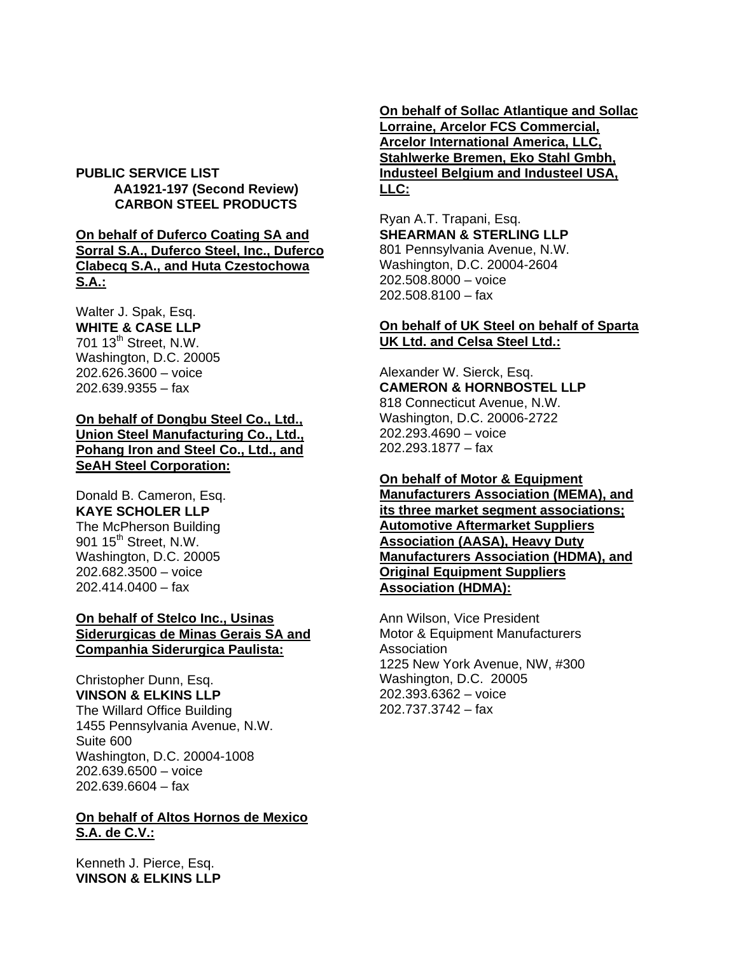## **PUBLIC SERVICE LIST AA1921-197 (Second Review) CARBON STEEL PRODUCTS**

## **On behalf of Duferco Coating SA and Sorral S.A., Duferco Steel, Inc., Duferco Clabecq S.A., and Huta Czestochowa S.A.:**

## Walter J. Spak, Esq. **WHITE & CASE LLP** 701 13<sup>th</sup> Street, N.W. Washington, D.C. 20005 202.626.3600 – voice 202.639.9355 – fax

# **On behalf of Dongbu Steel Co., Ltd., Union Steel Manufacturing Co., Ltd., Pohang Iron and Steel Co., Ltd., and SeAH Steel Corporation:**

Donald B. Cameron, Esq. **KAYE SCHOLER LLP** The McPherson Building 901 15<sup>th</sup> Street, N.W. Washington, D.C. 20005 202.682.3500 – voice 202.414.0400 – fax

# **On behalf of Stelco Inc., Usinas Siderurgicas de Minas Gerais SA and Companhia Siderurgica Paulista:**

Christopher Dunn, Esq. **VINSON & ELKINS LLP** The Willard Office Building 1455 Pennsylvania Avenue, N.W. Suite 600 Washington, D.C. 20004-1008 202.639.6500 – voice 202.639.6604 – fax

## **On behalf of Altos Hornos de Mexico S.A. de C.V.:**

Kenneth J. Pierce, Esq. **VINSON & ELKINS LLP** 

## **On behalf of Sollac Atlantique and Sollac Lorraine, Arcelor FCS Commercial, Arcelor International America, LLC, Stahlwerke Bremen, Eko Stahl Gmbh, Industeel Belgium and Industeel USA, LLC:**

Ryan A.T. Trapani, Esq. **SHEARMAN & STERLING LLP** 801 Pennsylvania Avenue, N.W. Washington, D.C. 20004-2604 202.508.8000 – voice 202.508.8100 – fax

# **On behalf of UK Steel on behalf of Sparta UK Ltd. and Celsa Steel Ltd.:**

Alexander W. Sierck, Esq. **CAMERON & HORNBOSTEL LLP** 818 Connecticut Avenue, N.W. Washington, D.C. 20006-2722 202.293.4690 – voice 202.293.1877 – fax

## **On behalf of Motor & Equipment Manufacturers Association (MEMA), and its three market segment associations; Automotive Aftermarket Suppliers Association (AASA), Heavy Duty Manufacturers Association (HDMA), and Original Equipment Suppliers Association (HDMA):**

Ann Wilson, Vice President Motor & Equipment Manufacturers **Association** 1225 New York Avenue, NW, #300 Washington, D.C. 20005 202.393.6362 – voice 202.737.3742 – fax